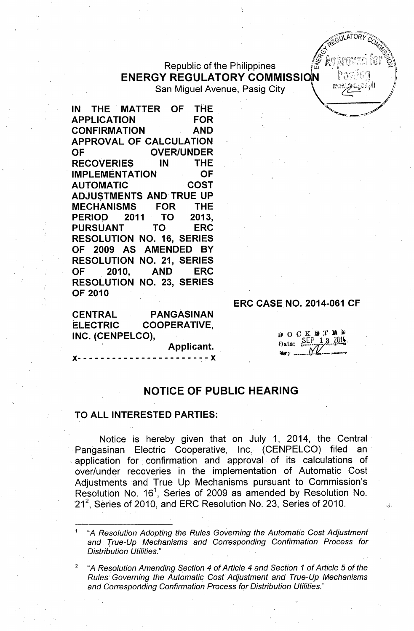## Republic of the Philippines ENERGY REGULATORY COMMISSION San Miguel Avenue, Pasig City

IN THE MATTER OF THE APPLICATION FOR CONFIRMATION AND APPROVAL OF CALCULATION OF OVER/UNDER RECOVERIES IN THE IMPLEMENTATION OF AUTOMATIC COST ADJUSTMENTS AND TRUE UP MECHANISMS FOR THE PERIOP 2011 TO 2013, PURSUANT TO ERC RESOLUTION NO. 16, SERIES OF 2009 AS AMENDED BY RESOLUTION NO. 21, SERIES OF 2010. AND ERC RESOLUTION NO. 23, SERIES OF 2010

CENTRAL PANGASINAN ELECTRIC COOPERATIVE, INC. (CENPELCO),

Applicant.

 $- - - X$ 

## **ERC CASE NO. 2014-061 CF**

| 13. |       | OCKBTND |  |  |             |
|-----|-------|---------|--|--|-------------|
|     | Date: |         |  |  | SEP 18 2014 |
|     |       |         |  |  |             |

 $\approx 60$ LATORY $\approx$  $\alpha$ <sup>*r<sub>21</sub>*  $\rightarrow$ </sup>  $\mathcal{A}_{\mathcal{L}}$ o <sup>ng</sup>o  ${\mathscr F}$  Anneovod for  ${\mathscr B}$ 

## NOTICE OF PUBLIC HEARING

## TO ALL INTERESTED PARTIES:

Notice is hereby given that on July 1, 2014, the Central Pangasinan Electric Cooperative, Inc. (CENPELCO) filed an . application for. confirmation and approval of its calculations of over/under recoveries in the implementation of Automatic Cost Adjustments 'and True Up Mechanisms pursuant to Commission's Resolution No. 16<sup>1</sup>, Series of 2009 as amended by Resolution No. 21<sup>2</sup>, Series of 2010, and ERC Resolution No. 23, Series of 2010.

<sup>1</sup> "A *Resolution Adopting the Rules Governing the Automatic Cost Adjustment and True-Up Mechanisms and Corresponding Confirmation Process for Distribution Utilities."*

<sup>2</sup> "A *Resolution Amending \$ection* 4 of *Article* 4 *and Section* 1 of *Article* 5 of *the Rules Governing the Automatic Cost Adjustment and True-Up Mechanisms and Corresponding Confirmation Process for Distribution Utilities."*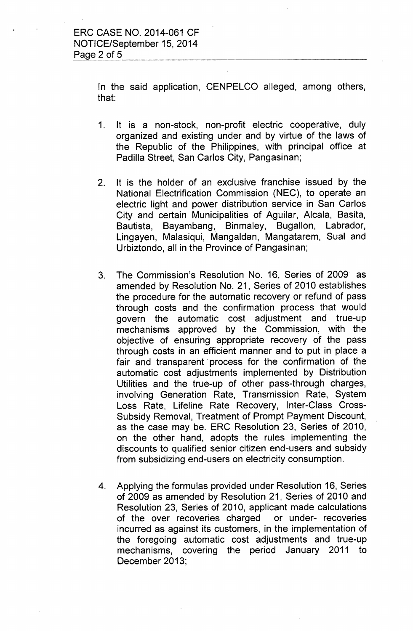In the said application, CENPELCO alleged, among others, that:

- 1. It is a non-stock, non-profit electric cooperative, duly organized and existing under and by virtue of the laws of the Republic of the Philippines, with principal office at Padilla Street, San Carlos City, Pangasinan;
- 2. It is the holder of an exclusive franchise issued by the National Electrification Commission (NEC), to operate an electric light and power distribution service in San Carlos City and certain Municipalities of Aguilar, Alcala, Basita, Bautista, Bayambang, Binmaley, Bugallon, Labrador, Lingayen, Malasiqui, Mangaldan, Mangatarem, Sual and Urbiztondo, all in the Province of Pangasinan;
- 3. The Commission's Resolution No. 16, Series of 2009. as amended by Resolution No. 21, Series of 2010 establishes the procedure for the automatic recovery or refund of pass through costs and the confirmation process that would govern the automatic cost adjustment and true-up mechanisms approved by the Commission, with the objective of ensuring appropriate recovery of the pass through costs in an efficient manner and to put in place a fair and transparent process for the confirmation of the automatic cost adjustments implemented by Distribution Utilities and the true-up of other pass-through charges, involving Generation Rate, Transmission Rate, System Loss Rate, Lifeline Rate Recovery, Inter-Class Cross-Subsidy Removal, Treatment of Prompt Payment Discount, as the case may be. ERC Resolution 23, Series of 2010, on the other hand, adopts the rules implementing the discounts to qualified senior citizen end-users and subsidy from subsidizing end-users on electricity consumption.
- 4. Applying the formulas provided under Resolution 16, Series of 2009 as amended by Resolution 21, Series of 2010 and Resolution 23, Series of 2010, applicant made calculations of the over recoveries charged or under- recoveries incurred as against its customers, in the implementation of the foregoing automatic cost adjustments and true-up mechanisms, covering the period January 2011 to December 2013;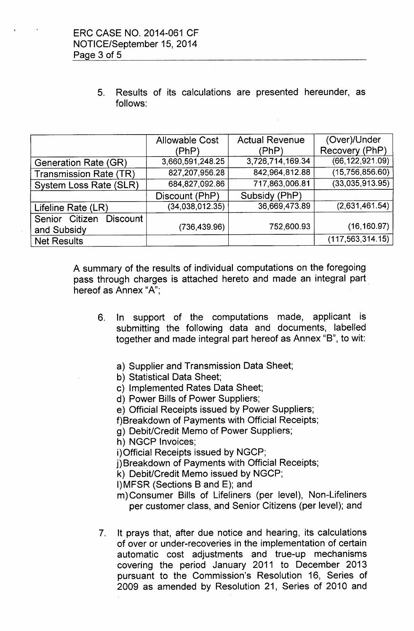5. Results of its calculations are presented hereunder, as follows:

|                                                  | <b>Allowable Cost</b> | <b>Actual Revenue</b> | (Over)/Under       |
|--------------------------------------------------|-----------------------|-----------------------|--------------------|
|                                                  | (PhP)                 | 'PhP)                 | Recovery (PhP)     |
| <b>Generation Rate (GR)</b>                      | 3,660,591,248.25      | 3,726,714,169.34      | (66, 122, 921.09)  |
| <b>Transmission Rate (TR)</b>                    | 827,207,956.28        | 842,964,812.88        | (15,756,856.60)    |
| System Loss Rate (SLR)                           | 684,827,092.86        | 717,863,006.81        | (33,035,913.95)    |
|                                                  | Discount (PhP)        | Subsidy (PhP)         |                    |
| Lifeline Rate (LR)                               | (34, 038, 012.35)     | 36,669,473.89         | (2,631,461.54)     |
| Senior Citizen<br><b>Discount</b><br>and Subsidy | (736, 439.96)         | 752,600.93            | (16, 160.97)       |
| <b>Net Results</b>                               |                       |                       | (117, 563, 314.15) |

A summary of the results of individual computations on the foregoing pass through charges is attached hereto and made an integral part hereof as Annex "A":

- 6. In support of the computations made, applicant is submitting the following data and documents, labelled together and made integral part hereof as Annex "B", to wit:
	- a) Supplier and Transmission Data Sheet;
	- b) Statistical Data Sheet;
	- c) Implemented Rates Data Sheet;
	- d) Power Bills of Power Suppliers;
	- e) Official Receipts issued by Power Suppliers;
	- f)Breakdown of Payments with Official Receipts;
	- g) Debit/Credit Memo of Power Suppliers;
	- h) NGCP Invoices;
	- i)Official Receipts issued by NGCP;
	- j) Breakdown of Payments with Official Receipts;
	- k) Debit/Credit Memo issued by NGCP;
	- I)MFSR (Sections B and E); and
	- m) Consumer Bills of Lifeliners (per level), Non-Lifeliners per customer class, and Senior Citizens (per level); and
- 7. It prays that, after due notice and hearing, its calculations of over or under-recoveries in the implementation of certain automatic cost adjustments and true-up mechanisms covering the period January 2011 to December 2013 pursuant to the Commission's Resolution 16, Series of 2009 as amended by Resolution 21, Series of 2010 and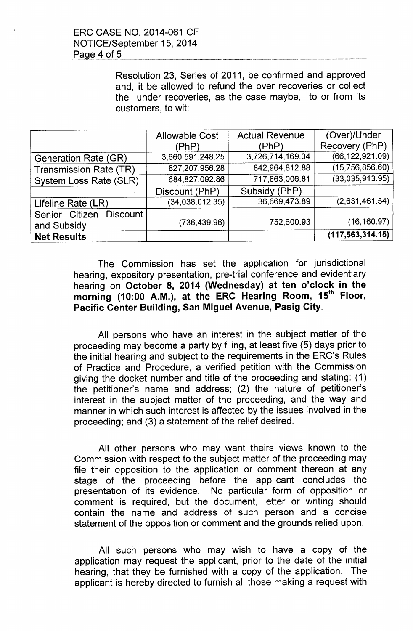Resolution 23, Series of 2011, be confirmed and approved and, it be allowed to refund the over recoveries or collect the under recoveries, as the case maybe, to or from its customers, to wit:

|                                                  | <b>Allowable Cost</b> | <b>Actual Revenue</b> | (Over)/Under       |
|--------------------------------------------------|-----------------------|-----------------------|--------------------|
|                                                  | (PhP)                 | (PhP)                 | Recovery (PhP)     |
| <b>Generation Rate (GR)</b>                      | 3,660,591,248.25      | 3,726,714,169.34      | (66, 122, 921.09)  |
| <b>Transmission Rate (TR)</b>                    | 827,207,956.28        | 842,964,812.88        | (15,756,856.60)    |
| System Loss Rate (SLR)                           | 684,827,092.86        | 717,863,006.81        | (33,035,913.95)    |
|                                                  | Discount (PhP)        | Subsidy (PhP)         |                    |
| Lifeline Rate (LR)                               | (34, 038, 012.35)     | 36,669,473.89         | (2,631,461.54)     |
| Senior Citizen<br><b>Discount</b><br>and Subsidy | (736, 439.96)         | 752,600.93            | (16, 160.97)       |
| <b>Net Results</b>                               |                       |                       | (117, 563, 314.15) |

The Commission has set the application for jurisdictional hearing, expository presentation, pre-trial conference and evidentiary hearing on October 8, 2014 (Wednesday) at ten o'clock in the morning (10:00 A.M.), at the ERC Hearing Room, 15<sup>th</sup> Floor, Pacific Center Building, San Miguel Avenue, Pasig City.

All persons who have an interest in the subject matter of the proceeding may become a party by filing, at least five (5) days prior to the initial hearing and subject to the requirements in the ERC's Rules of Practice and Procedure, a verified petition with the Commission giving the docket number and title of the proceeding and stating: (1) the petitioner's name and address; (2) the nature of petitioner's interest in the subject matter of the proceeding, and the way and manner in which such interest is affected by the issues involved in the proceeding; and (3) a statement of the relief desired.

All other persons who may want theirs views known to the Commission with respect to the subject matter of the proceeding may file their opposition to the application or comment thereon at any stage of the proceeding before the applicant concludes the presentation of its evidence. No particular form of opposition or comment is required, but the document, letter or writing should contain the name and address of such person and a concise statement of the opposition or comment and the grounds relied upon.

All such persons who may wish to have a copy of the application may request the applicant, prior to the date of the initial hearing, that they be furnished with a copy of the application. The applicant is hereby directed to furnish all those making a request with